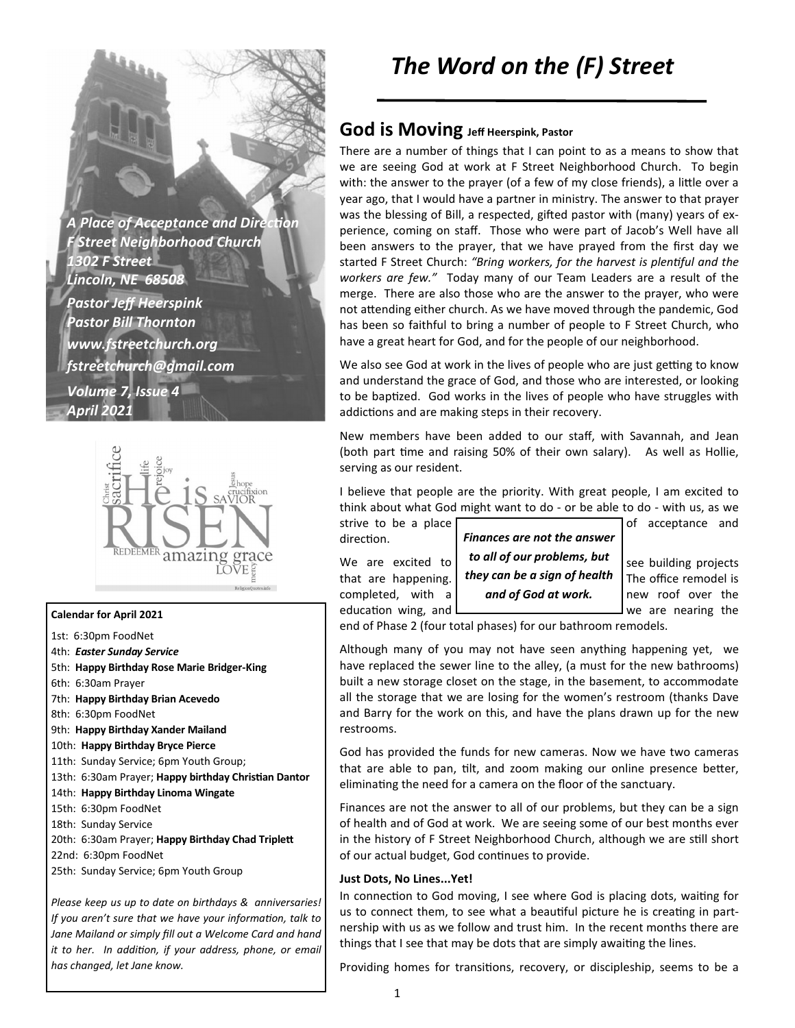**A Place of Acceptance and Direction** *F Street Neighborhood Church 1302 F Street Lincoln, NE 68508 Pastor Jeff Heerspink Pastor Bill Thornton www.fstreetchurch.org fstreetchurch@gmail.com Volume 7, Issue 4 April 2021* 



#### **Calendar for April 2021**

- 1st: 6:30pm FoodNet
- 4th: *Easter Sunday Service*
- 5th: **Happy Birthday Rose Marie Bridger-King**
- 6th: 6:30am Prayer
- 7th: **Happy Birthday Brian Acevedo**

8th: 6:30pm FoodNet

- 9th: **Happy Birthday Xander Mailand**
- 10th: **Happy Birthday Bryce Pierce**
- 11th: Sunday Service; 6pm Youth Group;
- 13th: 6:30am Prayer; Happy birthday Christian Dantor
- 14th: **Happy Birthday Linoma Wingate**
- 15th: 6:30pm FoodNet
- 18th: Sunday Service
- 20th: 6:30am Prayer; Happy Birthday Chad Triplett
- 22nd: 6:30pm FoodNet
- 25th: Sunday Service; 6pm Youth Group

*Please keep us up to date on birthdays & anniversaries! If you aren't sure that we have your information, talk to Jane Mailand or simply fill out a Welcome Card and hand it to her. In addition, if your address, phone, or email has changed, let Jane know.* 

# *The Word on the (F) Street*

### **God is Moving Jeff Heerspink, Pastor**

There are a number of things that I can point to as a means to show that we are seeing God at work at F Street Neighborhood Church. To begin with: the answer to the prayer (of a few of my close friends), a little over a year ago, that I would have a partner in ministry. The answer to that prayer was the blessing of Bill, a respected, gifted pastor with (many) years of experience, coming on staff. Those who were part of Jacob's Well have all been answers to the prayer, that we have prayed from the first day we started F Street Church: "Bring workers, for the harvest is plentiful and the *workers are few."* Today many of our Team Leaders are a result of the merge. There are also those who are the answer to the prayer, who were not attending either church. As we have moved through the pandemic, God has been so faithful to bring a number of people to F Street Church, who have a great heart for God, and for the people of our neighborhood.

We also see God at work in the lives of people who are just getting to know and understand the grace of God, and those who are interested, or looking to be baptized. God works in the lives of people who have struggles with addictions and are making steps in their recovery.

New members have been added to our staff, with Savannah, and Jean (both part time and raising 50% of their own salary). As well as Hollie, serving as our resident.

I believe that people are the priority. With great people, I am excited to think about what God might want to do - or be able to do - with us, as we

direction.

educa?on wing, and we are nearing the



end of Phase 2 (four total phases) for our bathroom remodels.

Although many of you may not have seen anything happening yet, we have replaced the sewer line to the alley, (a must for the new bathrooms) built a new storage closet on the stage, in the basement, to accommodate all the storage that we are losing for the women's restroom (thanks Dave and Barry for the work on this, and have the plans drawn up for the new restrooms.

God has provided the funds for new cameras. Now we have two cameras that are able to pan, tilt, and zoom making our online presence better, eliminating the need for a camera on the floor of the sanctuary.

Finances are not the answer to all of our problems, but they can be a sign of health and of God at work. We are seeing some of our best months ever in the history of F Street Neighborhood Church, although we are still short of our actual budget, God continues to provide.

#### **Just Dots, No Lines...Yet!**

In connection to God moving, I see where God is placing dots, waiting for us to connect them, to see what a beautiful picture he is creating in partnership with us as we follow and trust him. In the recent months there are things that I see that may be dots that are simply awaiting the lines.

Providing homes for transitions, recovery, or discipleship, seems to be a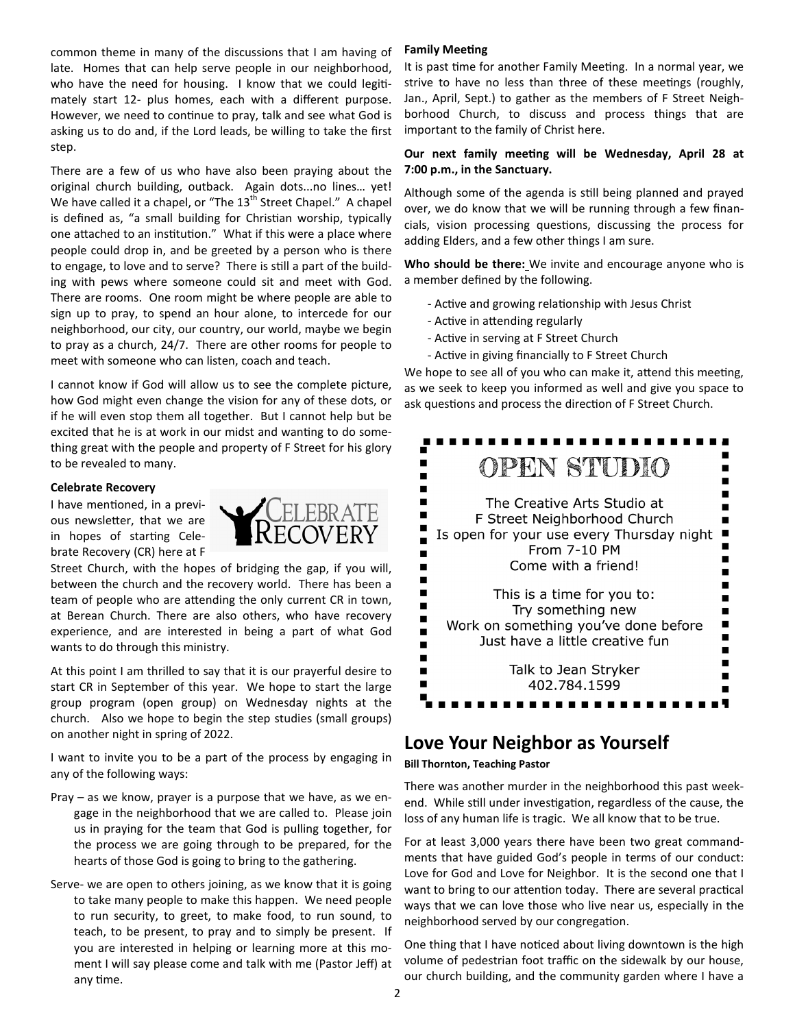common theme in many of the discussions that I am having of late. Homes that can help serve people in our neighborhood, who have the need for housing. I know that we could legitimately start 12- plus homes, each with a different purpose. However, we need to continue to pray, talk and see what God is asking us to do and, if the Lord leads, be willing to take the first step.

There are a few of us who have also been praying about the original church building, outback. Again dots...no lines… yet! We have called it a chapel, or "The  $13<sup>th</sup>$  Street Chapel." A chapel is defined as, "a small building for Christian worship, typically one attached to an institution." What if this were a place where people could drop in, and be greeted by a person who is there to engage, to love and to serve? There is still a part of the building with pews where someone could sit and meet with God. There are rooms. One room might be where people are able to sign up to pray, to spend an hour alone, to intercede for our neighborhood, our city, our country, our world, maybe we begin to pray as a church, 24/7. There are other rooms for people to meet with someone who can listen, coach and teach.

I cannot know if God will allow us to see the complete picture, how God might even change the vision for any of these dots, or if he will even stop them all together. But I cannot help but be excited that he is at work in our midst and wanting to do something great with the people and property of F Street for his glory to be revealed to many.

#### **Celebrate Recovery**

I have mentioned, in a previous newsletter, that we are in hopes of starting Celebrate Recovery (CR) here at F



Street Church, with the hopes of bridging the gap, if you will, between the church and the recovery world. There has been a team of people who are attending the only current CR in town, at Berean Church. There are also others, who have recovery experience, and are interested in being a part of what God wants to do through this ministry.

At this point I am thrilled to say that it is our prayerful desire to start CR in September of this year. We hope to start the large group program (open group) on Wednesday nights at the church. Also we hope to begin the step studies (small groups) on another night in spring of 2022.

I want to invite you to be a part of the process by engaging in any of the following ways:

- Pray as we know, prayer is a purpose that we have, as we engage in the neighborhood that we are called to. Please join us in praying for the team that God is pulling together, for the process we are going through to be prepared, for the hearts of those God is going to bring to the gathering.
- Serve- we are open to others joining, as we know that it is going to take many people to make this happen. We need people to run security, to greet, to make food, to run sound, to teach, to be present, to pray and to simply be present. If you are interested in helping or learning more at this moment I will say please come and talk with me (Pastor Jeff) at any time.

#### **Family Meeting**

It is past time for another Family Meeting. In a normal year, we strive to have no less than three of these meetings (roughly, Jan., April, Sept.) to gather as the members of F Street Neighborhood Church, to discuss and process things that are important to the family of Christ here.

#### **Our next family meeting will be Wednesday, April 28 at 7:00 p.m., in the Sanctuary.**

Although some of the agenda is still being planned and prayed over, we do know that we will be running through a few financials, vision processing questions, discussing the process for adding Elders, and a few other things I am sure.

**Who should be there:** We invite and encourage anyone who is a member defined by the following.

- Active and growing relationship with Jesus Christ
- Active in attending regularly
- Active in serving at F Street Church
- Active in giving financially to F Street Church

We hope to see all of you who can make it, attend this meeting, as we seek to keep you informed as well and give you space to ask questions and process the direction of F Street Church.



### **Love Your Neighbor as Yourself**

**Bill Thornton, Teaching Pastor** 

There was another murder in the neighborhood this past weekend. While still under investigation, regardless of the cause, the loss of any human life is tragic. We all know that to be true.

For at least 3,000 years there have been two great commandments that have guided God's people in terms of our conduct: Love for God and Love for Neighbor. It is the second one that I want to bring to our attention today. There are several practical ways that we can love those who live near us, especially in the neighborhood served by our congregation.

One thing that I have noticed about living downtown is the high volume of pedestrian foot traffic on the sidewalk by our house, our church building, and the community garden where I have a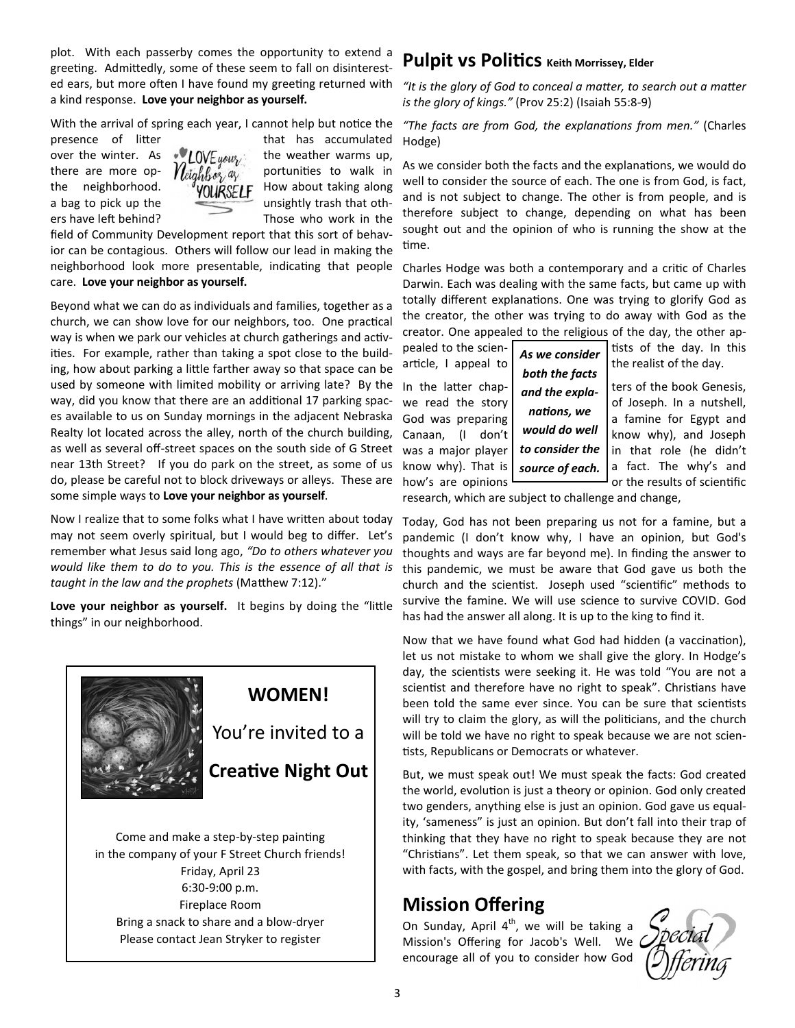plot. With each passerby comes the opportunity to extend a greeting. Admittedly, some of these seem to fall on disinterested ears, but more often I have found my greeting returned with a kind response. **Love your neighbor as yourself.**

With the arrival of spring each year, I cannot help but notice the



presence of litter that has accumulated over the winter. As  $\sqrt{\text{L0VE}}$  weightly the weather warms up, there are more op-  $\sqrt{\text{di}_q h} \text{for}_q q$  portunities to walk in the neighborhood.  $\frac{q}{\sqrt{U}} = \frac{1}{N}$  How about taking along a bag to pick up the unsightly trash that others have left behind? Those who work in the

field of Community Development report that this sort of behavior can be contagious. Others will follow our lead in making the neighborhood look more presentable, indicating that people care. **Love your neighbor as yourself.** 

Beyond what we can do as individuals and families, together as a church, we can show love for our neighbors, too. One practical way is when we park our vehicles at church gatherings and activities. For example, rather than taking a spot close to the building, how about parking a little farther away so that space can be used by someone with limited mobility or arriving late? By the way, did you know that there are an additional 17 parking spaces available to us on Sunday mornings in the adjacent Nebraska Realty lot located across the alley, north of the church building, as well as several off-street spaces on the south side of G Street near 13th Street? If you do park on the street, as some of us do, please be careful not to block driveways or alleys. These are some simple ways to **Love your neighbor as yourself**.

Now I realize that to some folks what I have written about today may not seem overly spiritual, but I would beg to differ. Let's remember what Jesus said long ago, *"Do to others whatever you would like them to do to you. This is the essence of all that is*  taught in the law and the prophets (Matthew 7:12)."

Love your neighbor as yourself. It begins by doing the "little things" in our neighborhood.



Come and make a step-by-step painting in the company of your F Street Church friends! Friday, April 23 6:30-9:00 p.m. Fireplace Room Bring a snack to share and a blow-dryer Please contact Jean Stryker to register

### **Pulpit vs Politics** Keith Morrissey, Elder

"It is the glory of God to conceal a matter, to search out a matter *is the glory of kings."* (Prov 25:2) (Isaiah 55:8-9)

"The facts are from God, the explanations from men." (Charles Hodge)

As we consider both the facts and the explanations, we would do well to consider the source of each. The one is from God, is fact, and is not subject to change. The other is from people, and is therefore subject to change, depending on what has been sought out and the opinion of who is running the show at the time.

Charles Hodge was both a contemporary and a critic of Charles Darwin. Each was dealing with the same facts, but came up with totally different explanations. One was trying to glorify God as the creator, the other was trying to do away with God as the creator. One appealed to the religious of the day, the other ap-

pealed to the scien-  $\int$   $\int$   $\int$   $\int$   $\int$   $\int$   $\int$  as stational in this in this article, I appeal to  $\int_{0}^{\infty}$  is consider the realist of the day. In the latter chap-  $\int_{\text{mod the graph}}$  ters of the book Genesis, we read the story  $\begin{bmatrix} 1 & 1 \end{bmatrix}$  of Joseph. In a nutshell, *As we consider both the facts and the explanations, we* 

God was preparing  $\begin{bmatrix} 1 & 1 & 1 & 1 \\ 1 & 1 & 1 & 1 \\ 0 & 0 & 1 & 1 \end{bmatrix}$  a famine for Egypt and Canaan,  $\begin{pmatrix} 1 & \text{don't} \end{pmatrix}$  *WOUID AO WEII* know why), and Joseph was a major player | to consider the  $|$  in that role (he didn't know why). That is  $\int$  *source of each*, a fact. The why's and how's are opinions  $\Box$  or the results of scientific

research, which are subject to challenge and change,

*would do well to consider the source of each.* 

Today, God has not been preparing us not for a famine, but a pandemic (I don't know why, I have an opinion, but God's thoughts and ways are far beyond me). In finding the answer to this pandemic, we must be aware that God gave us both the church and the scientist. Joseph used "scientific" methods to survive the famine. We will use science to survive COVID. God has had the answer all along. It is up to the king to find it.

Now that we have found what God had hidden (a vaccination), let us not mistake to whom we shall give the glory. In Hodge's day, the scientists were seeking it. He was told "You are not a scientist and therefore have no right to speak". Christians have been told the same ever since. You can be sure that scientists will try to claim the glory, as will the politicians, and the church will be told we have no right to speak because we are not scien tists, Republicans or Democrats or whatever.

But, we must speak out! We must speak the facts: God created the world, evolution is just a theory or opinion. God only created two genders, anything else is just an opinion. God gave us equality, 'sameness" is just an opinion. But don't fall into their trap of thinking that they have no right to speak because they are not "Christians". Let them speak, so that we can answer with love, with facts, with the gospel, and bring them into the glory of God.

### **Mission Offering**

On Sunday, April  $4<sup>th</sup>$ , we will be taking a Mission's Offering for Jacob's Well. We encourage all of you to consider how God

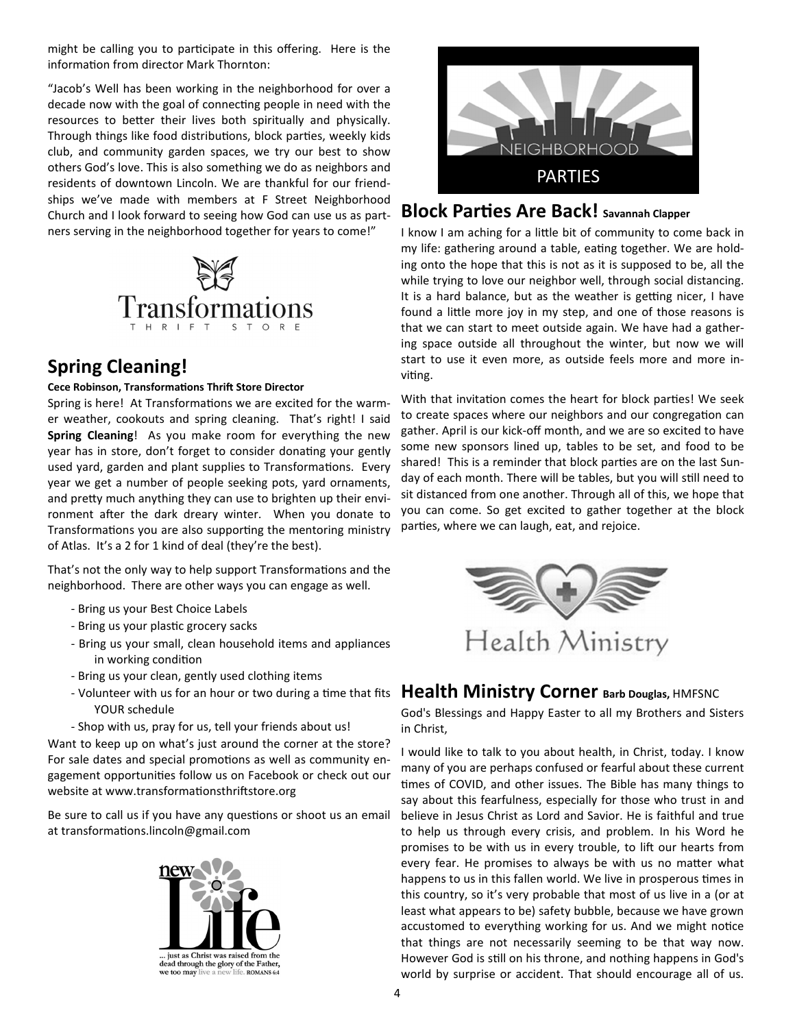might be calling you to participate in this offering. Here is the information from director Mark Thornton:

"Jacob's Well has been working in the neighborhood for over a decade now with the goal of connecting people in need with the resources to better their lives both spiritually and physically. Through things like food distributions, block parties, weekly kids club, and community garden spaces, we try our best to show others God's love. This is also something we do as neighbors and residents of downtown Lincoln. We are thankful for our friendships we've made with members at F Street Neighborhood Church and I look forward to seeing how God can use us as partners serving in the neighborhood together for years to come!"



### **Spring Cleaning!**

#### **Cece Robinson, Transformations Thrift Store Director**

Spring is here! At Transformations we are excited for the warmer weather, cookouts and spring cleaning. That's right! I said **Spring Cleaning**! As you make room for everything the new year has in store, don't forget to consider donating your gently used yard, garden and plant supplies to Transformations. Every year we get a number of people seeking pots, yard ornaments, and pretty much anything they can use to brighten up their environment after the dark dreary winter. When you donate to Transformations you are also supporting the mentoring ministry of Atlas. It's a 2 for 1 kind of deal (they're the best).

That's not the only way to help support Transformations and the neighborhood. There are other ways you can engage as well.

- Bring us your Best Choice Labels
- Bring us your plastic grocery sacks
- Bring us your small, clean household items and appliances in working condition
- Bring us your clean, gently used clothing items
- YOUR schedule
- Shop with us, pray for us, tell your friends about us!

Want to keep up on what's just around the corner at the store? For sale dates and special promotions as well as community engagement opportunities follow us on Facebook or check out our website at www.transformationsthriftstore.org

Be sure to call us if you have any questions or shoot us an email at transformations.lincoln@gmail.com





### **Block Parties Are Back!** Savannah Clapper

I know I am aching for a little bit of community to come back in my life: gathering around a table, eating together. We are holding onto the hope that this is not as it is supposed to be, all the while trying to love our neighbor well, through social distancing. It is a hard balance, but as the weather is getting nicer, I have found a little more joy in my step, and one of those reasons is that we can start to meet outside again. We have had a gathering space outside all throughout the winter, but now we will start to use it even more, as outside feels more and more inviting.

With that invitation comes the heart for block parties! We seek to create spaces where our neighbors and our congregation can gather. April is our kick-off month, and we are so excited to have some new sponsors lined up, tables to be set, and food to be shared! This is a reminder that block parties are on the last Sunday of each month. There will be tables, but you will still need to sit distanced from one another. Through all of this, we hope that you can come. So get excited to gather together at the block parties, where we can laugh, eat, and rejoice.



### - Volunteer with us for an hour or two during a time that fits **Health Ministry Corner Barb Douglas, HMFSNC**

God's Blessings and Happy Easter to all my Brothers and Sisters in Christ,

I would like to talk to you about health, in Christ, today. I know many of you are perhaps confused or fearful about these current times of COVID, and other issues. The Bible has many things to say about this fearfulness, especially for those who trust in and believe in Jesus Christ as Lord and Savior. He is faithful and true to help us through every crisis, and problem. In his Word he promises to be with us in every trouble, to lift our hearts from every fear. He promises to always be with us no matter what happens to us in this fallen world. We live in prosperous times in this country, so it's very probable that most of us live in a (or at least what appears to be) safety bubble, because we have grown accustomed to everything working for us. And we might notice that things are not necessarily seeming to be that way now. However God is still on his throne, and nothing happens in God's world by surprise or accident. That should encourage all of us.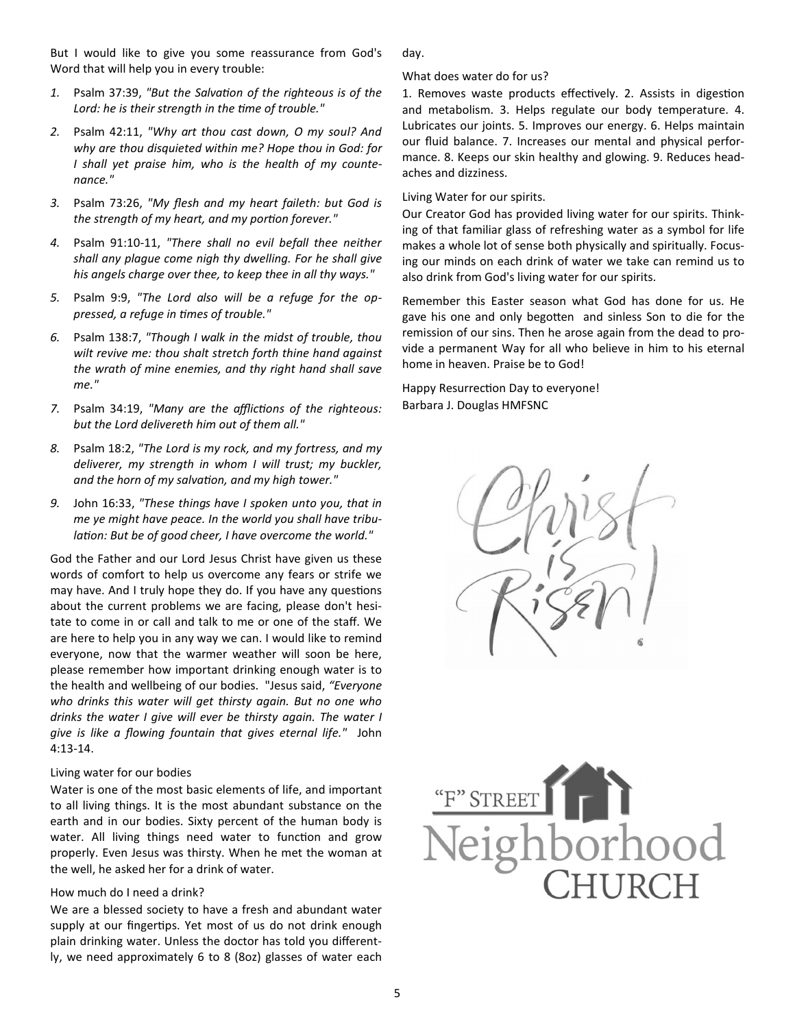But I would like to give you some reassurance from God's Word that will help you in every trouble:

- 1. Psalm 37:39, "But the Salvation of the righteous is of the Lord: he is their strength in the time of trouble."
- *2.* Psalm 42:11, *"Why art thou cast down, O my soul? And why are thou disquieted within me? Hope thou in God: for I shall yet praise him, who is the health of my countenance."*
- *3.* Psalm 73:26, *"My flesh and my heart faileth: but God is the strength of my heart, and my portion forever."*
- *4.* Psalm 91:10-11, *"There shall no evil befall thee neither shall any plague come nigh thy dwelling. For he shall give his angels charge over thee, to keep thee in all thy ways."*
- *5.* Psalm 9:9, *"The Lord also will be a refuge for the oppressed, a refuge in mes of trouble."*
- *6.* Psalm 138:7, *"Though I walk in the midst of trouble, thou wilt revive me: thou shalt stretch forth thine hand against the wrath of mine enemies, and thy right hand shall save me."*
- 7. Psalm 34:19, "Many are the afflictions of the righteous: *but the Lord delivereth him out of them all."*
- *8.* Psalm 18:2, *"The Lord is my rock, and my fortress, and my deliverer, my strength in whom I will trust; my buckler,*  and the horn of my salvation, and my high tower."
- *9.* John 16:33, *"These things have I spoken unto you, that in me ye might have peace. In the world you shall have tribu*lation: But be of good cheer, I have overcome the world."

God the Father and our Lord Jesus Christ have given us these words of comfort to help us overcome any fears or strife we may have. And I truly hope they do. If you have any questions about the current problems we are facing, please don't hesitate to come in or call and talk to me or one of the staff. We are here to help you in any way we can. I would like to remind everyone, now that the warmer weather will soon be here, please remember how important drinking enough water is to the health and wellbeing of our bodies. "Jesus said, *"Everyone who drinks this water will get thirsty again. But no one who drinks the water I give will ever be thirsty again. The water I give is like a flowing fountain that gives eternal life."* John 4:13-14.

#### Living water for our bodies

Water is one of the most basic elements of life, and important to all living things. It is the most abundant substance on the earth and in our bodies. Sixty percent of the human body is water. All living things need water to function and grow properly. Even Jesus was thirsty. When he met the woman at the well, he asked her for a drink of water.

#### How much do I need a drink?

We are a blessed society to have a fresh and abundant water supply at our fingertips. Yet most of us do not drink enough plain drinking water. Unless the doctor has told you differently, we need approximately 6 to 8 (8oz) glasses of water each day.

#### What does water do for us?

1. Removes waste products effectively. 2. Assists in digestion and metabolism. 3. Helps regulate our body temperature. 4. Lubricates our joints. 5. Improves our energy. 6. Helps maintain our fluid balance. 7. Increases our mental and physical performance. 8. Keeps our skin healthy and glowing. 9. Reduces headaches and dizziness.

Living Water for our spirits.

Our Creator God has provided living water for our spirits. Thinking of that familiar glass of refreshing water as a symbol for life makes a whole lot of sense both physically and spiritually. Focusing our minds on each drink of water we take can remind us to also drink from God's living water for our spirits.

Remember this Easter season what God has done for us. He gave his one and only begotten and sinless Son to die for the remission of our sins. Then he arose again from the dead to provide a permanent Way for all who believe in him to his eternal home in heaven. Praise be to God!

Happy Resurrection Day to everyone! Barbara J. Douglas HMFSNC



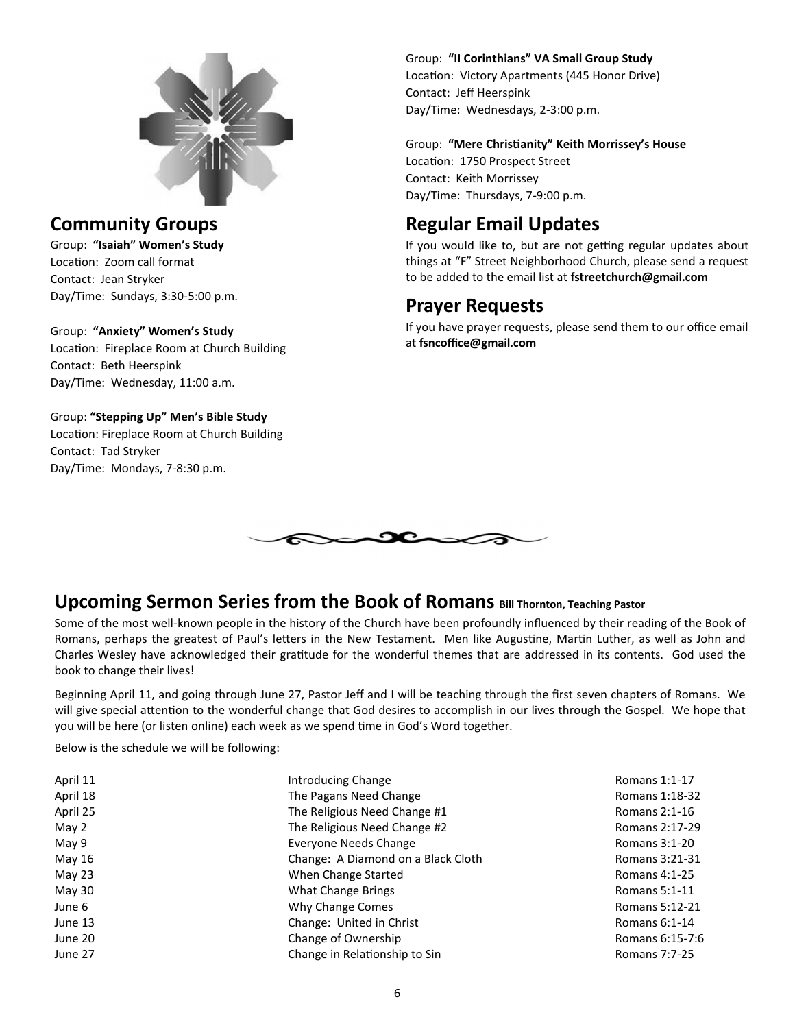

### **Community Groups**

Group: **"Isaiah" Women's Study** Location: Zoom call format Contact: Jean Stryker Day/Time: Sundays, 3:30-5:00 p.m.

#### Group: **"Anxiety" Women's Study**

Location: Fireplace Room at Church Building Contact: Beth Heerspink Day/Time: Wednesday, 11:00 a.m.

Group: **"Stepping Up" Men's Bible Study** Location: Fireplace Room at Church Building Contact: Tad Stryker Day/Time: Mondays, 7-8:30 p.m.

#### Group: **"II Corinthians" VA Small Group Study**

Location: Victory Apartments (445 Honor Drive) Contact: Jeff Heerspink Day/Time: Wednesdays, 2-3:00 p.m.

Group: **"Mere Chris!anity" Keith Morrissey's House** Location: 1750 Prospect Street Contact: Keith Morrissey Day/Time: Thursdays, 7-9:00 p.m.

## **Regular Email Updates**

If you would like to, but are not getting regular updates about things at "F" Street Neighborhood Church, please send a request to be added to the email list at **fstreetchurch@gmail.com**

### **Prayer Requests**

If you have prayer requests, please send them to our office email at **fsncoffice@gmail.com**



### **Upcoming Sermon Series from the Book of Romans Bill Thornton, Teaching Pastor**

Some of the most well-known people in the history of the Church have been profoundly influenced by their reading of the Book of Romans, perhaps the greatest of Paul's letters in the New Testament. Men like Augustine, Martin Luther, as well as John and Charles Wesley have acknowledged their gratitude for the wonderful themes that are addressed in its contents. God used the book to change their lives!

Beginning April 11, and going through June 27, Pastor Jeff and I will be teaching through the first seven chapters of Romans. We will give special attention to the wonderful change that God desires to accomplish in our lives through the Gospel. We hope that you will be here (or listen online) each week as we spend time in God's Word together.

Below is the schedule we will be following:

| April 11                                 | Introducing Change                 | Romans 1:1-17        |
|------------------------------------------|------------------------------------|----------------------|
| April 18                                 | The Pagans Need Change             |                      |
| April 25                                 | The Religious Need Change #1       |                      |
| May 2                                    | The Religious Need Change #2       |                      |
| May 9<br>Everyone Needs Change           |                                    | Romans 3:1-20        |
| May 16                                   | Change: A Diamond on a Black Cloth | Romans 3:21-31       |
| May 23<br>When Change Started            |                                    | Romans 4:1-25        |
| May 30                                   | What Change Brings                 |                      |
| June 6                                   | Why Change Comes                   |                      |
| June 13                                  | Change: United in Christ           |                      |
| June 20                                  | Change of Ownership                |                      |
| Change in Relationship to Sin<br>June 27 |                                    | <b>Romans 7:7-25</b> |